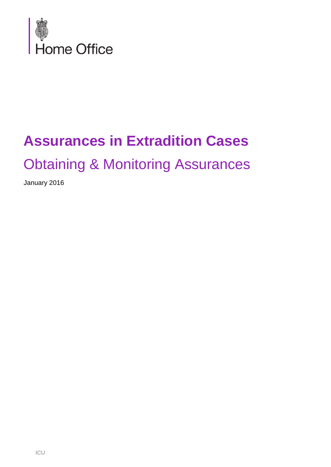

# **Assurances in Extradition Cases**

## Obtaining & Monitoring Assurances

January 2016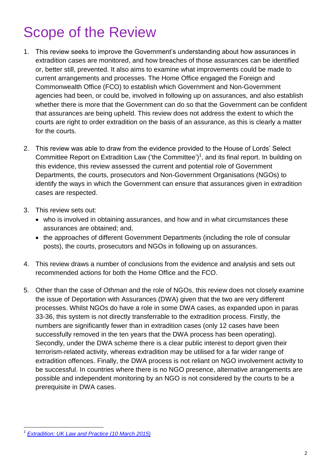## Scope of the Review

- 1. This review seeks to improve the Government's understanding about how assurances in extradition cases are monitored, and how breaches of those assurances can be identified or, better still, prevented. It also aims to examine what improvements could be made to current arrangements and processes. The Home Office engaged the Foreign and Commonwealth Office (FCO) to establish which Government and Non-Government agencies had been, or could be, involved in following up on assurances, and also establish whether there is more that the Government can do so that the Government can be confident that assurances are being upheld. This review does not address the extent to which the courts are right to order extradition on the basis of an assurance, as this is clearly a matter for the courts.
- 2. This review was able to draw from the evidence provided to the House of Lords' Select Committee Report on Extradition Law ('the Committee')<sup>1</sup>, and its final report. In building on this evidence, this review assessed the current and potential role of Government Departments, the courts, prosecutors and Non-Government Organisations (NGOs) to identify the ways in which the Government can ensure that assurances given in extradition cases are respected.
- 3. This review sets out:
	- who is involved in obtaining assurances, and how and in what circumstances these assurances are obtained; and,
	- the approaches of different Government Departments (including the role of consular posts), the courts, prosecutors and NGOs in following up on assurances.
- 4. This review draws a number of conclusions from the evidence and analysis and sets out recommended actions for both the Home Office and the FCO.
- 5. Other than the case of *Othman* and the role of NGOs, this review does not closely examine the issue of Deportation with Assurances (DWA) given that the two are very different processes. Whilst NGOs do have a role in some DWA cases, as expanded upon in paras 33-36, this system is not directly transferrable to the extradition process. Firstly, the numbers are significantly fewer than in extradition cases (only 12 cases have been successfully removed in the ten years that the DWA process has been operating). Secondly, under the DWA scheme there is a clear public interest to deport given their terrorism-related activity, whereas extradition may be utilised for a far wider range of extradition offences. Finally, the DWA process is not reliant on NGO involvement activity to be successful. In countries where there is no NGO presence, alternative arrangements are possible and independent monitoring by an NGO is not considered by the courts to be a prerequisite in DWA cases.

*<sup>1</sup> [Extradition: UK Law and Practice \(10 March 2015\)](http://www.publications.parliament.uk/pa/ld201415/ldselect/ldextradition/126/126.pdf)*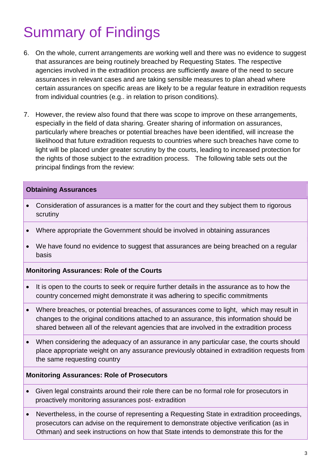## Summary of Findings

- 6. On the whole, current arrangements are working well and there was no evidence to suggest that assurances are being routinely breached by Requesting States. The respective agencies involved in the extradition process are sufficiently aware of the need to secure assurances in relevant cases and are taking sensible measures to plan ahead where certain assurances on specific areas are likely to be a regular feature in extradition requests from individual countries (e.g.. in relation to prison conditions).
- 7. However, the review also found that there was scope to improve on these arrangements, especially in the field of data sharing. Greater sharing of information on assurances, particularly where breaches or potential breaches have been identified, will increase the likelihood that future extradition requests to countries where such breaches have come to light will be placed under greater scrutiny by the courts, leading to increased protection for the rights of those subject to the extradition process. The following table sets out the principal findings from the review:

#### **Obtaining Assurances**

- Consideration of assurances is a matter for the court and they subject them to rigorous scrutiny
- Where appropriate the Government should be involved in obtaining assurances
- We have found no evidence to suggest that assurances are being breached on a regular basis

### **Monitoring Assurances: Role of the Courts**

- It is open to the courts to seek or require further details in the assurance as to how the country concerned might demonstrate it was adhering to specific commitments
- Where breaches, or potential breaches, of assurances come to light, which may result in changes to the original conditions attached to an assurance, this information should be shared between all of the relevant agencies that are involved in the extradition process
- When considering the adequacy of an assurance in any particular case, the courts should place appropriate weight on any assurance previously obtained in extradition requests from the same requesting country

#### **Monitoring Assurances: Role of Prosecutors**

- Given legal constraints around their role there can be no formal role for prosecutors in proactively monitoring assurances post- extradition
- Nevertheless, in the course of representing a Requesting State in extradition proceedings, prosecutors can advise on the requirement to demonstrate objective verification (as in Othman) and seek instructions on how that State intends to demonstrate this for the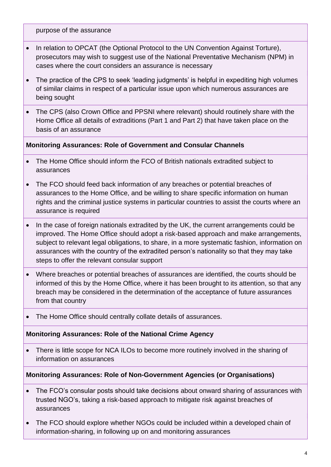purpose of the assurance

- In relation to OPCAT (the Optional Protocol to the UN Convention Against Torture), prosecutors may wish to suggest use of the National Preventative Mechanism (NPM) in cases where the court considers an assurance is necessary
- The practice of the CPS to seek 'leading judgments' is helpful in expediting high volumes of similar claims in respect of a particular issue upon which numerous assurances are being sought
- The CPS (also Crown Office and PPSNI where relevant) should routinely share with the Home Office all details of extraditions (Part 1 and Part 2) that have taken place on the basis of an assurance

### **Monitoring Assurances: Role of Government and Consular Channels**

- The Home Office should inform the FCO of British nationals extradited subject to assurances
- The FCO should feed back information of any breaches or potential breaches of assurances to the Home Office, and be willing to share specific information on human rights and the criminal justice systems in particular countries to assist the courts where an assurance is required
- In the case of foreign nationals extradited by the UK, the current arrangements could be improved. The Home Office should adopt a risk-based approach and make arrangements, subject to relevant legal obligations, to share, in a more systematic fashion, information on assurances with the country of the extradited person's nationality so that they may take steps to offer the relevant consular support
- Where breaches or potential breaches of assurances are identified, the courts should be informed of this by the Home Office, where it has been brought to its attention, so that any breach may be considered in the determination of the acceptance of future assurances from that country
- The Home Office should centrally collate details of assurances.

### **Monitoring Assurances: Role of the National Crime Agency**

• There is little scope for NCA ILOs to become more routinely involved in the sharing of information on assurances

### **Monitoring Assurances: Role of Non-Government Agencies (or Organisations)**

- The FCO's consular posts should take decisions about onward sharing of assurances with trusted NGO's, taking a risk-based approach to mitigate risk against breaches of assurances
- The FCO should explore whether NGOs could be included within a developed chain of information-sharing, in following up on and monitoring assurances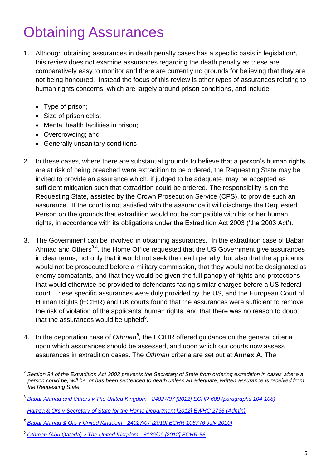## Obtaining Assurances

- 1. Although obtaining assurances in death penalty cases has a specific basis in legislation<sup>2</sup>, this review does not examine assurances regarding the death penalty as these are comparatively easy to monitor and there are currently no grounds for believing that they are not being honoured. Instead the focus of this review is other types of assurances relating to human rights concerns, which are largely around prison conditions, and include:
	- Type of prison;
	- Size of prison cells;
	- Mental health facilities in prison:
	- Overcrowding; and
	- Generally unsanitary conditions
- 2. In these cases, where there are substantial grounds to believe that a person's human rights are at risk of being breached were extradition to be ordered, the Requesting State may be invited to provide an assurance which, if judged to be adequate, may be accepted as sufficient mitigation such that extradition could be ordered. The responsibility is on the Requesting State, assisted by the Crown Prosecution Service (CPS), to provide such an assurance. If the court is not satisfied with the assurance it will discharge the Requested Person on the grounds that extradition would not be compatible with his or her human rights, in accordance with its obligations under the Extradition Act 2003 ('the 2003 Act').
- 3. The Government can be involved in obtaining assurances. In the extradition case of Babar Ahmad and Others<sup>3,4</sup>, the Home Office requested that the US Government give assurances in clear terms, not only that it would not seek the death penalty, but also that the applicants would not be prosecuted before a military commission, that they would not be designated as enemy combatants, and that they would be given the full panoply of rights and protections that would otherwise be provided to defendants facing similar charges before a US federal court. These specific assurances were duly provided by the US, and the European Court of Human Rights (ECtHR) and UK courts found that the assurances were sufficient to remove the risk of violation of the applicants' human rights, and that there was no reason to doubt that the assurances would be upheld $5$ .
- 4. In the deportation case of Othman<sup>6</sup>, the ECtHR offered guidance on the general criteria upon which assurances should be assessed, and upon which our courts now assess assurances in extradition cases. The *Othman* criteria are set out at **Annex A**. The

 $\overline{a}$ 2 *Section 94 of the Extradition Act 2003 prevents the Secretary of State from ordering extradition in cases where a person could be, will be, or has been sentenced to death unless an adequate, written assurance is received from the Requesting State*

<sup>3</sup> *Babar Ahmad and Others v The United Kingdom - [24027/07 \[2012\] ECHR 609 \(paragraphs 104-108\)](http://www.bailii.org/eu/cases/ECHR/2012/609.html)*

<sup>4</sup> *[Hamza & Ors v Secretary of State for the Home Department \[2012\] EWHC 2736 \(Admin\)](http://www.bailii.org/ew/cases/EWHC/Admin/2012/2736.html)*

*<sup>5</sup> Babar Ahmad & Ors v United Kingdom - [24027/07 \[2010\] ECHR 1067 \(6 July 2010\)](http://www.bailii.org/eu/cases/ECHR/2010/1067.html)*

<sup>6</sup> *[Othman \(Abu Qatada\) v The United Kingdom -](http://www.bailii.org/eu/cases/ECHR/2012/56.html) 8139/09 [2012] ECHR 56*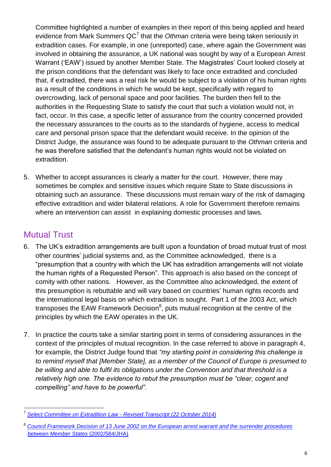Committee highlighted a number of examples in their report of this being applied and heard evidence from Mark Summers QC<sup>7</sup> that the *Othman* criteria were being taken seriously in extradition cases. For example, in one (unreported) case, where again the Government was involved in obtaining the assurance, a UK national was sought by way of a European Arrest Warrant ('EAW') issued by another Member State. The Magistrates' Court looked closely at the prison conditions that the defendant was likely to face once extradited and concluded that, if extradited, there was a real risk he would be subject to a violation of his human rights as a result of the conditions in which he would be kept, specifically with regard to overcrowding, lack of personal space and poor facilities. The burden then fell to the authorities in the Requesting State to satisfy the court that such a violation would not, in fact, occur. In this case, a specific letter of assurance from the country concerned provided the necessary assurances to the courts as to the standards of hygiene, access to medical care and personal prison space that the defendant would receive. In the opinion of the District Judge, the assurance was found to be adequate pursuant to the *Othman* criteria and he was therefore satisfied that the defendant's human rights would not be violated on extradition.

5. Whether to accept assurances is clearly a matter for the court. However, there may sometimes be complex and sensitive issues which require State to State discussions in obtaining such an assurance. These discussions must remain wary of the risk of damaging effective extradition and wider bilateral relations. A role for Government therefore remains where an intervention can assist in explaining domestic processes and laws.

### Mutual Trust

- 6. The UK's extradition arrangements are built upon a foundation of broad mutual trust of most other countries' judicial systems and, as the Committee acknowledged, there is a "presumption that a country with which the UK has extradition arrangements will not violate the human rights of a Requested Person". This approach is also based on the concept of comity with other nations. However, as the Committee also acknowledged, the extent of this presumption is rebuttable and will vary based on countries' human rights records and the international legal basis on which extradition is sought. Part 1 of the 2003 Act, which transposes the EAW Framework Decision $^8$ , puts mutual recognition at the centre of the principles by which the EAW operates in the UK.
- 7. In practice the courts take a similar starting point in terms of considering assurances in the context of the principles of mutual recognition. In the case referred to above in paragraph 4, for example, the District Judge found that *"my starting point in considering this challenge is to remind myself that [Member State], as a member of the Council of Europe is presumed to be willing and able to fulfil its obligations under the Convention and that threshold is a relatively high one. The evidence to rebut the presumption must be "clear, cogent and compelling" and have to be powerful".*

 $\overline{a}$ 7 *[Select Committee on Extradition Law -](http://data.parliament.uk/writtenevidence/committeeevidence.svc/evidencedocument/extradition-law-committee/extradition-law/oral/14820.html) Revised Transcript (22 October 2014)*

<sup>8</sup> *[Council Framework Decision of 13 June 2002 on the European arrest warrant and the surrender procedures](http://eur-lex.europa.eu/LexUriServ/LexUriServ.do?uri=CELEX:32002F0584:en:HTML)  [between Member States](http://eur-lex.europa.eu/LexUriServ/LexUriServ.do?uri=CELEX:32002F0584:en:HTML)* (2002/584/JHA)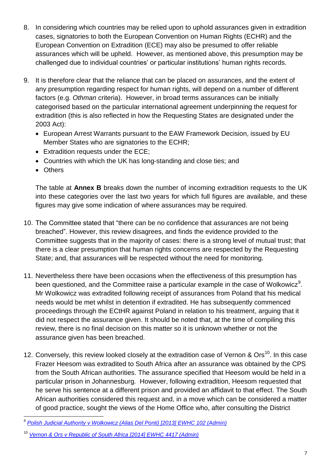- 8. In considering which countries may be relied upon to uphold assurances given in extradition cases, signatories to both the European Convention on Human Rights (ECHR) and the European Convention on Extradition (ECE) may also be presumed to offer reliable assurances which will be upheld. However, as mentioned above, this presumption may be challenged due to individual countries' or particular institutions' human rights records.
- 9. It is therefore clear that the reliance that can be placed on assurances, and the extent of any presumption regarding respect for human rights, will depend on a number of different factors (e.g. *Othman* criteria). However, in broad terms assurances can be initially categorised based on the particular international agreement underpinning the request for extradition (this is also reflected in how the Requesting States are designated under the 2003 Act):
	- European Arrest Warrants pursuant to the EAW Framework Decision, issued by EU Member States who are signatories to the ECHR;
	- Extradition requests under the ECE;
	- Countries with which the UK has long-standing and close ties; and
	- Others

The table at **Annex B** breaks down the number of incoming extradition requests to the UK into these categories over the last two years for which full figures are available, and these figures may give some indication of where assurances may be required.

- 10. The Committee stated that "there can be no confidence that assurances are not being breached". However, this review disagrees, and finds the evidence provided to the Committee suggests that in the majority of cases: there is a strong level of mutual trust; that there is a clear presumption that human rights concerns are respected by the Requesting State; and, that assurances will be respected without the need for monitoring.
- 11. Nevertheless there have been occasions when the effectiveness of this presumption has been questioned, and the Committee raise a particular example in the case of Wolkowicz<sup>9</sup>. Mr Wolkowicz was extradited following receipt of assurances from Poland that his medical needs would be met whilst in detention if extradited. He has subsequently commenced proceedings through the ECtHR against Poland in relation to his treatment, arguing that it did not respect the assurance given. It should be noted that, at the time of compiling this review, there is no final decision on this matter so it is unknown whether or not the assurance given has been breached.
- 12. Conversely, this review looked closely at the extradition case of Vernon &  $\text{Ors}^{\text{10}}$ . In this case Frazer Heesom was extradited to South Africa after an assurance was obtained by the CPS from the South African authorities. The assurance specified that Heesom would be held in a particular prison in Johannesburg. However, following extradition, Heesom requested that he serve his sentence at a different prison and provided an affidavit to that effect. The South African authorities considered this request and, in a move which can be considered a matter of good practice, sought the views of the Home Office who, after consulting the District

 *9 [Polish Judicial Authority v Wolkowicz \(Alias Del Ponti\) \[2013\] EWHC 102 \(Admin\)](http://www.bailii.org/cgi-bin/markup.cgi?doc=/ew/cases/EWHC/Admin/2013/102.html&query=Polish+and+Judicial+and+Authority+and+v+and+Mariusz+and+Wolkowicz+and+(alias+and+Del+and+Ponti)+and+(2013)+and+EWHC+and+102+and+(Admin)&method=boolean)* 

<sup>10</sup> *[Vernon & Ors v Republic of South Africa \[2014\] EWHC 4417 \(Admin\)](http://www.bailii.org/ew/cases/EWHC/Admin/2014/4417.html)*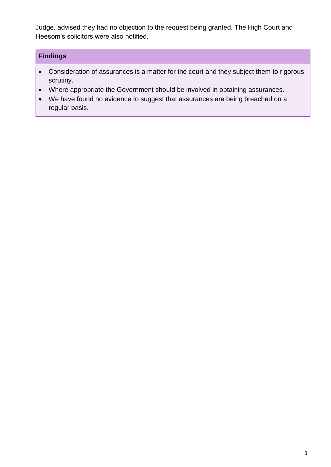Judge, advised they had no objection to the request being granted. The High Court and Heesom's solicitors were also notified.

- Consideration of assurances is a matter for the court and they subject them to rigorous scrutiny.
- Where appropriate the Government should be involved in obtaining assurances.
- We have found no evidence to suggest that assurances are being breached on a regular basis.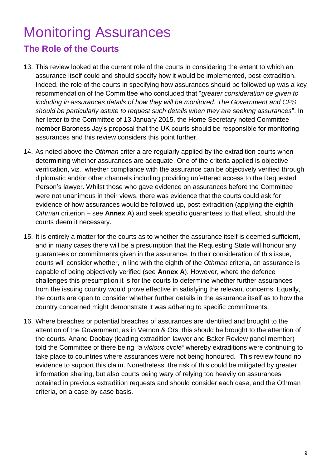## Monitoring Assurances **The Role of the Courts**

- 13. This review looked at the current role of the courts in considering the extent to which an assurance itself could and should specify how it would be implemented, post-extradition. Indeed, the role of the courts in specifying how assurances should be followed up was a key recommendation of the Committee who concluded that "*greater consideration be given to including in assurances details of how they will be monitored. The Government and CPS should be particularly astute to request such details when they are seeking assurances*". In her letter to the Committee of 13 January 2015, the Home Secretary noted Committee member Baroness Jay's proposal that the UK courts should be responsible for monitoring assurances and this review considers this point further.
- 14. As noted above the *Othman* criteria are regularly applied by the extradition courts when determining whether assurances are adequate. One of the criteria applied is objective verification, viz., whether compliance with the assurance can be objectively verified through diplomatic and/or other channels including providing unfettered access to the Requested Person's lawyer. Whilst those who gave evidence on assurances before the Committee were not unanimous in their views, there was evidence that the courts could ask for evidence of how assurances would be followed up, post-extradition (applying the eighth *Othman* criterion – see **Annex A**) and seek specific guarantees to that effect, should the courts deem it necessary.
- 15. It is entirely a matter for the courts as to whether the assurance itself is deemed sufficient, and in many cases there will be a presumption that the Requesting State will honour any guarantees or commitments given in the assurance. In their consideration of this issue, courts will consider whether, in line with the eighth of the *Othman* criteria, an assurance is capable of being objectively verified (see **Annex A**). However, where the defence challenges this presumption it is for the courts to determine whether further assurances from the issuing country would prove effective in satisfying the relevant concerns. Equally, the courts are open to consider whether further details in the assurance itself as to how the country concerned might demonstrate it was adhering to specific commitments.
- 16. Where breaches or potential breaches of assurances are identified and brought to the attention of the Government, as in Vernon & Ors, this should be brought to the attention of the courts. Anand Doobay (leading extradition lawyer and Baker Review panel member) told the Committee of there being *"a vicious circle"* whereby extraditions were continuing to take place to countries where assurances were not being honoured. This review found no evidence to support this claim. Nonetheless, the risk of this could be mitigated by greater information sharing, but also courts being wary of relying too heavily on assurances obtained in previous extradition requests and should consider each case, and the Othman criteria, on a case-by-case basis.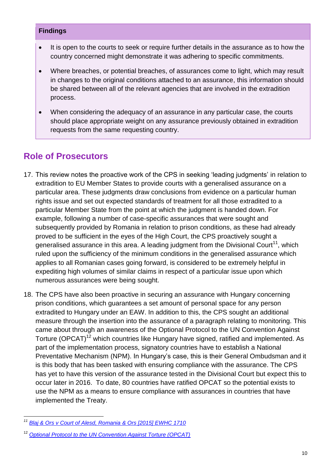- It is open to the courts to seek or require further details in the assurance as to how the country concerned might demonstrate it was adhering to specific commitments.
- Where breaches, or potential breaches, of assurances come to light, which may result in changes to the original conditions attached to an assurance, this information should be shared between all of the relevant agencies that are involved in the extradition process.
- When considering the adequacy of an assurance in any particular case, the courts should place appropriate weight on any assurance previously obtained in extradition requests from the same requesting country.

### **Role of Prosecutors**

- 17. This review notes the proactive work of the CPS in seeking 'leading judgments' in relation to extradition to EU Member States to provide courts with a generalised assurance on a particular area. These judgments draw conclusions from evidence on a particular human rights issue and set out expected standards of treatment for all those extradited to a particular Member State from the point at which the judgment is handed down. For example, following a number of case-specific assurances that were sought and subsequently provided by Romania in relation to prison conditions, as these had already proved to be sufficient in the eyes of the High Court, the CPS proactively sought a generalised assurance in this area. A leading judgment from the Divisional Court<sup>11</sup>, which ruled upon the sufficiency of the minimum conditions in the generalised assurance which applies to all Romanian cases going forward, is considered to be extremely helpful in expediting high volumes of similar claims in respect of a particular issue upon which numerous assurances were being sought.
- 18. The CPS have also been proactive in securing an assurance with Hungary concerning prison conditions, which guarantees a set amount of personal space for any person extradited to Hungary under an EAW. In addition to this, the CPS sought an additional measure through the insertion into the assurance of a paragraph relating to monitoring. This came about through an awareness of the Optional Protocol to the UN Convention Against Torture (OPCAT)<sup>12</sup> which countries like Hungary have signed, ratified and implemented. As part of the implementation process, signatory countries have to establish a National Preventative Mechanism (NPM). In Hungary's case, this is their General Ombudsman and it is this body that has been tasked with ensuring compliance with the assurance. The CPS has yet to have this version of the assurance tested in the Divisional Court but expect this to occur later in 2016. To date, 80 countries have ratified OPCAT so the potential exists to use the NPM as a means to ensure compliance with assurances in countries that have implemented the Treaty.

 $\overline{a}$ *<sup>11</sup> [Blaj & Ors v Court of Alesd, Romania & Ors \[2015\] EWHC 1710](http://www.bailii.org/ew/cases/EWHC/Admin/2015/1710.html)* 

<sup>12</sup> *[Optional Protocol to the UN Convention Against Torture \(OPCAT\)](http://tbinternet.ohchr.org/_layouts/TreatyBodyExternal/Treaty.aspx?Treaty=CAT-OP&Lang=en)*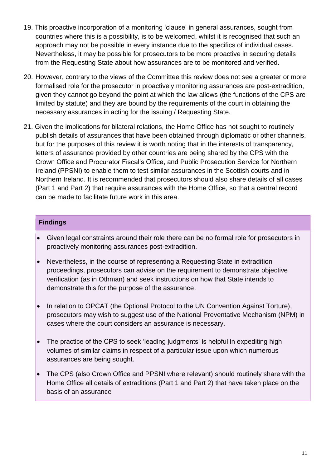- 19. This proactive incorporation of a monitoring 'clause' in general assurances, sought from countries where this is a possibility, is to be welcomed, whilst it is recognised that such an approach may not be possible in every instance due to the specifics of individual cases. Nevertheless, it may be possible for prosecutors to be more proactive in securing details from the Requesting State about how assurances are to be monitored and verified.
- 20. However, contrary to the views of the Committee this review does not see a greater or more formalised role for the prosecutor in proactively monitoring assurances are post-extradition, given they cannot go beyond the point at which the law allows (the functions of the CPS are limited by statute) and they are bound by the requirements of the court in obtaining the necessary assurances in acting for the issuing / Requesting State.
- 21. Given the implications for bilateral relations, the Home Office has not sought to routinely publish details of assurances that have been obtained through diplomatic or other channels, but for the purposes of this review it is worth noting that in the interests of transparency, letters of assurance provided by other countries are being shared by the CPS with the Crown Office and Procurator Fiscal's Office, and Public Prosecution Service for Northern Ireland (PPSNI) to enable them to test similar assurances in the Scottish courts and in Northern Ireland. It is recommended that prosecutors should also share details of all cases (Part 1 and Part 2) that require assurances with the Home Office, so that a central record can be made to facilitate future work in this area.

- Given legal constraints around their role there can be no formal role for prosecutors in proactively monitoring assurances post-extradition.
- Nevertheless, in the course of representing a Requesting State in extradition proceedings, prosecutors can advise on the requirement to demonstrate objective verification (as in Othman) and seek instructions on how that State intends to demonstrate this for the purpose of the assurance.
- In relation to OPCAT (the Optional Protocol to the UN Convention Against Torture), prosecutors may wish to suggest use of the National Preventative Mechanism (NPM) in cases where the court considers an assurance is necessary.
- The practice of the CPS to seek 'leading judgments' is helpful in expediting high volumes of similar claims in respect of a particular issue upon which numerous assurances are being sought.
- The CPS (also Crown Office and PPSNI where relevant) should routinely share with the Home Office all details of extraditions (Part 1 and Part 2) that have taken place on the basis of an assurance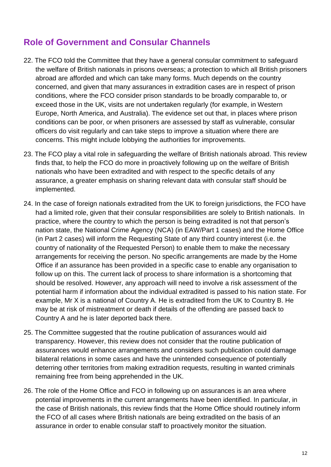## **Role of Government and Consular Channels**

- 22. The FCO told the Committee that they have a general consular commitment to safeguard the welfare of British nationals in prisons overseas; a protection to which all British prisoners abroad are afforded and which can take many forms. Much depends on the country concerned, and given that many assurances in extradition cases are in respect of prison conditions, where the FCO consider prison standards to be broadly comparable to, or exceed those in the UK, visits are not undertaken regularly (for example, in Western Europe, North America, and Australia). The evidence set out that, in places where prison conditions can be poor, or when prisoners are assessed by staff as vulnerable, consular officers do visit regularly and can take steps to improve a situation where there are concerns. This might include lobbying the authorities for improvements.
- 23. The FCO play a vital role in safeguarding the welfare of British nationals abroad. This review finds that, to help the FCO do more in proactively following up on the welfare of British nationals who have been extradited and with respect to the specific details of any assurance, a greater emphasis on sharing relevant data with consular staff should be implemented.
- 24. In the case of foreign nationals extradited from the UK to foreign jurisdictions, the FCO have had a limited role, given that their consular responsibilities are solely to British nationals. In practice, where the country to which the person is being extradited is not that person's nation state, the National Crime Agency (NCA) (in EAW/Part 1 cases) and the Home Office (in Part 2 cases) will inform the Requesting State of any third country interest (i.e. the country of nationality of the Requested Person) to enable them to make the necessary arrangements for receiving the person. No specific arrangements are made by the Home Office if an assurance has been provided in a specific case to enable any organisation to follow up on this. The current lack of process to share information is a shortcoming that should be resolved. However, any approach will need to involve a risk assessment of the potential harm if information about the individual extradited is passed to his nation state. For example, Mr X is a national of Country A. He is extradited from the UK to Country B. He may be at risk of mistreatment or death if details of the offending are passed back to Country A and he is later deported back there.
- 25. The Committee suggested that the routine publication of assurances would aid transparency. However, this review does not consider that the routine publication of assurances would enhance arrangements and considers such publication could damage bilateral relations in some cases and have the unintended consequence of potentially deterring other territories from making extradition requests, resulting in wanted criminals remaining free from being apprehended in the UK.
- 26. The role of the Home Office and FCO in following up on assurances is an area where potential improvements in the current arrangements have been identified. In particular, in the case of British nationals, this review finds that the Home Office should routinely inform the FCO of all cases where British nationals are being extradited on the basis of an assurance in order to enable consular staff to proactively monitor the situation.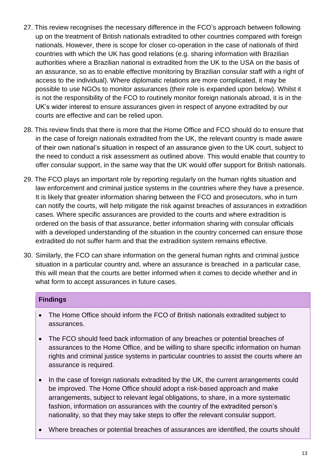- 27. This review recognises the necessary difference in the FCO's approach between following up on the treatment of British nationals extradited to other countries compared with foreign nationals. However, there is scope for closer co-operation in the case of nationals of third countries with which the UK has good relations (e.g. sharing information with Brazilian authorities where a Brazilian national is extradited from the UK to the USA on the basis of an assurance, so as to enable effective monitoring by Brazilian consular staff with a right of access to the individual). Where diplomatic relations are more complicated, it may be possible to use NGOs to monitor assurances (their role is expanded upon below). Whilst it is not the responsibility of the FCO to routinely monitor foreign nationals abroad, it is in the UK's wider interest to ensure assurances given in respect of anyone extradited by our courts are effective and can be relied upon.
- 28. This review finds that there is more that the Home Office and FCO should do to ensure that in the case of foreign nationals extradited from the UK, the relevant country is made aware of their own national's situation in respect of an assurance given to the UK court, subject to the need to conduct a risk assessment as outlined above. This would enable that country to offer consular support, in the same way that the UK would offer support for British nationals.
- 29. The FCO plays an important role by reporting regularly on the human rights situation and law enforcement and criminal justice systems in the countries where they have a presence. It is likely that greater information sharing between the FCO and prosecutors, who in turn can notify the courts, will help mitigate the risk against breaches of assurances in extradition cases. Where specific assurances are provided to the courts and where extradition is ordered on the basis of that assurance, better information sharing with consular officials with a developed understanding of the situation in the country concerned can ensure those extradited do not suffer harm and that the extradition system remains effective.
- 30. Similarly, the FCO can share information on the general human rights and criminal justice situation in a particular country and, where an assurance is breached in a particular case, this will mean that the courts are better informed when it comes to decide whether and in what form to accept assurances in future cases.

- The Home Office should inform the FCO of British nationals extradited subject to assurances.
- The FCO should feed back information of any breaches or potential breaches of assurances to the Home Office, and be willing to share specific information on human rights and criminal justice systems in particular countries to assist the courts where an assurance is required.
- In the case of foreign nationals extradited by the UK, the current arrangements could be improved. The Home Office should adopt a risk-based approach and make arrangements, subject to relevant legal obligations, to share, in a more systematic fashion, information on assurances with the country of the extradited person's nationality, so that they may take steps to offer the relevant consular support.
- Where breaches or potential breaches of assurances are identified, the courts should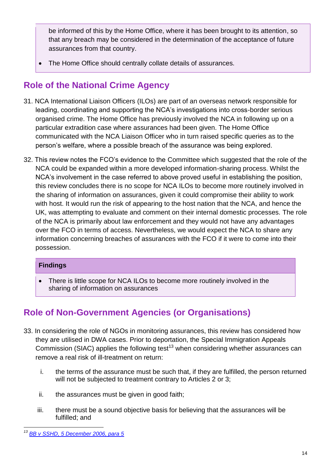be informed of this by the Home Office, where it has been brought to its attention, so that any breach may be considered in the determination of the acceptance of future assurances from that country.

The Home Office should centrally collate details of assurances.

## **Role of the National Crime Agency**

- 31. NCA International Liaison Officers (ILOs) are part of an overseas network responsible for leading, coordinating and supporting the NCA's investigations into cross-border serious organised crime. The Home Office has previously involved the NCA in following up on a particular extradition case where assurances had been given. The Home Office communicated with the NCA Liaison Officer who in turn raised specific queries as to the person's welfare, where a possible breach of the assurance was being explored.
- 32. This review notes the FCO's evidence to the Committee which suggested that the role of the NCA could be expanded within a more developed information-sharing process. Whilst the NCA's involvement in the case referred to above proved useful in establishing the position, this review concludes there is no scope for NCA ILOs to become more routinely involved in the sharing of information on assurances, given it could compromise their ability to work with host. It would run the risk of appearing to the host nation that the NCA, and hence the UK, was attempting to evaluate and comment on their internal domestic processes. The role of the NCA is primarily about law enforcement and they would not have any advantages over the FCO in terms of access. Nevertheless, we would expect the NCA to share any information concerning breaches of assurances with the FCO if it were to come into their possession.

### **Findings**

 There is little scope for NCA ILOs to become more routinely involved in the sharing of information on assurances

## **Role of Non-Government Agencies (or Organisations)**

- 33. In considering the role of NGOs in monitoring assurances, this review has considered how they are utilised in DWA cases. Prior to deportation, the Special Immigration Appeals Commission (SIAC) applies the following test<sup>13</sup> when considering whether assurances can remove a real risk of ill-treatment on return:
	- i. the terms of the assurance must be such that, if they are fulfilled, the person returned will not be subjected to treatment contrary to Articles 2 or 3;
	- ii. the assurances must be given in good faith;
	- iii. there must be a sound objective basis for believing that the assurances will be fulfilled; and

*<sup>13</sup> [BB v SSHD, 5 December 2006, para 5](http://www.siac.tribunals.gov.uk/Documents/SC_39_2005%20BB%20Open%20Judgement%20Nov%2006.pdf)*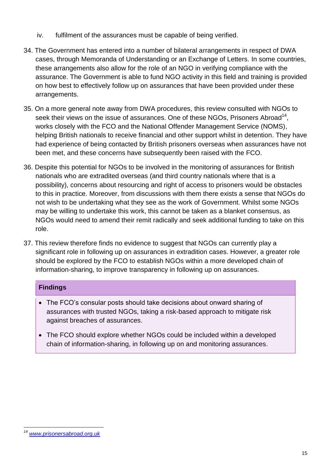- iv. fulfilment of the assurances must be capable of being verified.
- 34. The Government has entered into a number of bilateral arrangements in respect of DWA cases, through Memoranda of Understanding or an Exchange of Letters. In some countries, these arrangements also allow for the role of an NGO in verifying compliance with the assurance. The Government is able to fund NGO activity in this field and training is provided on how best to effectively follow up on assurances that have been provided under these arrangements.
- 35. On a more general note away from DWA procedures, this review consulted with NGOs to seek their views on the issue of assurances. One of these NGOs, Prisoners Abroad<sup>14</sup>, works closely with the FCO and the National Offender Management Service (NOMS), helping British nationals to receive financial and other support whilst in detention. They have had experience of being contacted by British prisoners overseas when assurances have not been met, and these concerns have subsequently been raised with the FCO.
- 36. Despite this potential for NGOs to be involved in the monitoring of assurances for British nationals who are extradited overseas (and third country nationals where that is a possibility), concerns about resourcing and right of access to prisoners would be obstacles to this in practice. Moreover, from discussions with them there exists a sense that NGOs do not wish to be undertaking what they see as the work of Government. Whilst some NGOs may be willing to undertake this work, this cannot be taken as a blanket consensus, as NGOs would need to amend their remit radically and seek additional funding to take on this role.
- 37. This review therefore finds no evidence to suggest that NGOs can currently play a significant role in following up on assurances in extradition cases. However, a greater role should be explored by the FCO to establish NGOs within a more developed chain of information-sharing, to improve transparency in following up on assurances.

- The FCO's consular posts should take decisions about onward sharing of assurances with trusted NGOs, taking a risk-based approach to mitigate risk against breaches of assurances.
- The FCO should explore whether NGOs could be included within a developed chain of information-sharing, in following up on and monitoring assurances.

 $\overline{a}$ *<sup>14</sup> [www.prisonersabroad.org.uk](http://www.prisonersabroad.org.uk/)*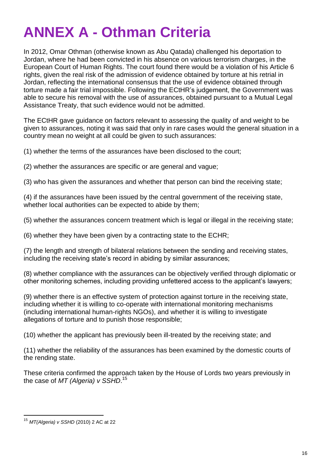## **ANNEX A - Othman Criteria**

In 2012, Omar Othman (otherwise known as Abu Qatada) challenged his deportation to Jordan, where he had been convicted in his absence on various terrorism charges, in the European Court of Human Rights. The court found there would be a violation of his Article 6 rights, given the real risk of the admission of evidence obtained by torture at his retrial in Jordan, reflecting the international consensus that the use of evidence obtained through torture made a fair trial impossible. Following the ECtHR's judgement, the Government was able to secure his removal with the use of assurances, obtained pursuant to a Mutual Legal Assistance Treaty, that such evidence would not be admitted.

The ECtHR gave guidance on factors relevant to assessing the quality of and weight to be given to assurances, noting it was said that only in rare cases would the general situation in a country mean no weight at all could be given to such assurances:

(1) whether the terms of the assurances have been disclosed to the court;

(2) whether the assurances are specific or are general and vague;

(3) who has given the assurances and whether that person can bind the receiving state;

(4) if the assurances have been issued by the central government of the receiving state, whether local authorities can be expected to abide by them;

(5) whether the assurances concern treatment which is legal or illegal in the receiving state;

(6) whether they have been given by a contracting state to the ECHR;

(7) the length and strength of bilateral relations between the sending and receiving states, including the receiving state's record in abiding by similar assurances;

(8) whether compliance with the assurances can be objectively verified through diplomatic or other monitoring schemes, including providing unfettered access to the applicant's lawyers;

(9) whether there is an effective system of protection against torture in the receiving state, including whether it is willing to co-operate with international monitoring mechanisms (including international human-rights NGOs), and whether it is willing to investigate allegations of torture and to punish those responsible;

(10) whether the applicant has previously been ill-treated by the receiving state; and

(11) whether the reliability of the assurances has been examined by the domestic courts of the rending state.

These criteria confirmed the approach taken by the House of Lords two years previously in the case of *MT (Algeria) v SSHD*. 15

<sup>15</sup> *MT(Algeria) v SSHD* (2010) 2 AC at 22